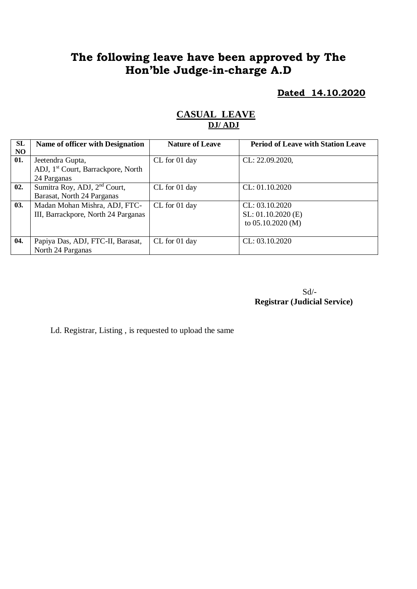# **The following leave have been approved by The Hon'ble Judge-in-charge A.D**

**Dated 14.10.2020**

| <b>SL</b> | <b>Name of officer with Designation</b>        | <b>Nature of Leave</b> | <b>Period of Leave with Station Leave</b> |
|-----------|------------------------------------------------|------------------------|-------------------------------------------|
| NO        |                                                |                        |                                           |
| 01.       | Jeetendra Gupta,                               | CL for 01 day          | CL: 22.09.2020,                           |
|           | ADJ, 1 <sup>st</sup> Court, Barrackpore, North |                        |                                           |
|           | 24 Parganas                                    |                        |                                           |
| 02.       | Sumitra Roy, ADJ, 2 <sup>nd</sup> Court,       | CL for 01 day          | CL: 01.10.2020                            |
|           | Barasat, North 24 Parganas                     |                        |                                           |
| 03.       | Madan Mohan Mishra, ADJ, FTC-                  | CL for 01 day          | CL: 03.10.2020                            |
|           | III, Barrackpore, North 24 Parganas            |                        | $SL: 01.10.2020$ (E)                      |
|           |                                                |                        | to $05.10.2020$ (M)                       |
|           |                                                |                        |                                           |
| 04.       | Papiya Das, ADJ, FTC-II, Barasat,              | CL for 01 day          | CL: 03.10.2020                            |
|           | North 24 Parganas                              |                        |                                           |

#### **CASUAL LEAVE DJ/ ADJ**

Sd/- **Registrar (Judicial Service)**

Ld. Registrar, Listing , is requested to upload the same